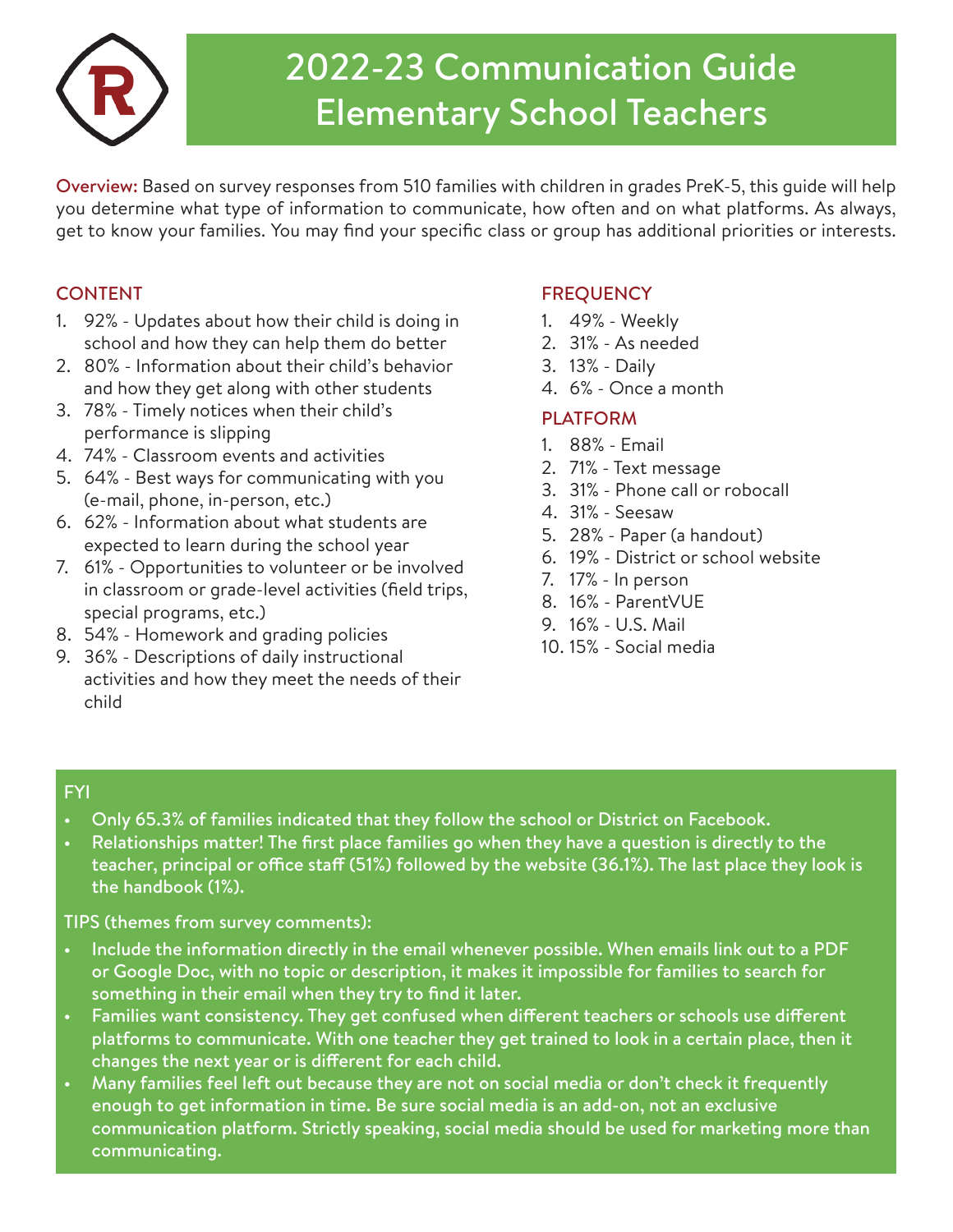

## 2022-23 Communication Guide Elementary School Teachers

Overview: Based on survey responses from 510 families with children in grades PreK-5, this guide will help you determine what type of information to communicate, how often and on what platforms. As always, get to know your families. You may find your specific class or group has additional priorities or interests.

## **CONTENT**

- 1. 92% Updates about how their child is doing in school and how they can help them do better
- 2. 80% Information about their child's behavior and how they get along with other students
- 3. 78% Timely notices when their child's performance is slipping
- 4. 74% Classroom events and activities
- 5. 64% Best ways for communicating with you (e-mail, phone, in-person, etc.)
- 6. 62% Information about what students are expected to learn during the school year
- 7. 61% Opportunities to volunteer or be involved in classroom or grade-level activities (field trips, special programs, etc.)
- 8. 54% Homework and grading policies
- 9. 36% Descriptions of daily instructional activities and how they meet the needs of their child

## **FREQUENCY**

- 1. 49% Weekly
- 2. 31% As needed
- 3. 13% Daily
- 4. 6% Once a month

## PLATFORM

- 1. 88% Email
- 2. 71% Text message
- 3. 31% Phone call or robocall
- 4. 31% Seesaw
- 5. 28% Paper (a handout)
- 6. 19% District or school website
- 7. 17% In person
- 8. 16% ParentVUE
- 9. 16% U.S. Mail
- 10. 15% Social media

## FYI

- Only 65.3% of families indicated that they follow the school or District on Facebook.
- Relationships matter! The first place families go when they have a question is directly to the teacher, principal or office staff (51%) followed by the website (36.1%). The last place they look is the handbook (1%).

TIPS (themes from survey comments):

- Include the information directly in the email whenever possible. When emails link out to a PDF or Google Doc, with no topic or description, it makes it impossible for families to search for something in their email when they try to find it later.
- Families want consistency. They get confused when different teachers or schools use different platforms to communicate. With one teacher they get trained to look in a certain place, then it changes the next year or is different for each child.
- Many families feel left out because they are not on social media or don't check it frequently enough to get information in time. Be sure social media is an add-on, not an exclusive communication platform. Strictly speaking, social media should be used for marketing more than communicating.